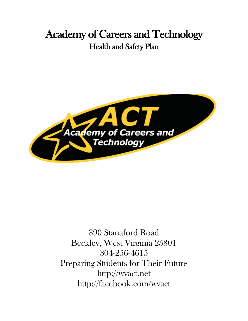# Academy of Careers and Technology Health and Safety Plan



390 Stanaford Road Beckley, West Virginia 25801 304-256-4615 Preparing Students for Their Future [http://wvact.net](http://wvact.net/) <http://facebook.com/wvact>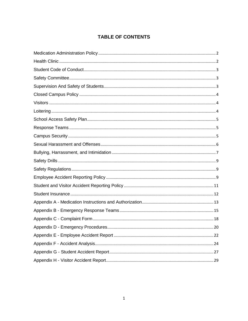## **TABLE OF CONTENTS**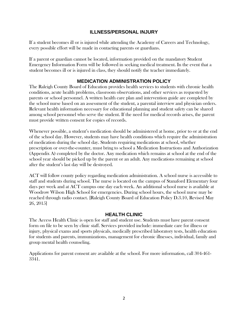#### **ILLNESS/PERSONAL INJURY**

If a student becomes ill or is injured while attending the Academy of Careers and Technology, every possible effort will be made in contacting parents or guardians.

If a parent or guardian cannot be located, information provided on the mandatory Student Emergency Information Form will be followed in seeking medical treatment. In the event that a student becomes ill or is injured in class, they should notify the teacher immediately.

#### **MEDICATION ADMINISTRATION POLICY**

<span id="page-2-0"></span>The Raleigh County Board of Education provides health services to students with chronic health conditions, acute health problems, classroom observations, and other services as requested by parents or school personnel. A written health care plan and intervention guide are completed by the school nurse based on an assessment of the student, a parental interview and physician orders. Relevant health information necessary for educational planning and student safety can be shared among school personnel who serve the student. If the need for medical records arises, the parent must provide written consent for copies of records.

Whenever possible, a student's medication should be administered at home, prior to or at the end of the school day. However, students may have health conditions which require the administration of medication during the school day. Students requiring medications at school, whether prescription or over-the-counter, must bring to school a Medication Instructions and Authorization (Appendix A) completed by the doctor. Any medication which remains at school at the end of the school year should be picked up by the parent or an adult. Any medications remaining at school after the student's last day will be destroyed.

ACT will follow county policy regarding medication administration. A school nurse is accessible to staff and students during school. The nurse is located on the campus of Stanaford Elementary four days per week and at ACT campus one day each week. An additional school nurse is available at Woodrow Wilson High School for emergencies. During school hours, the school nurse may be reached through radio contact. [Raleigh County Board of Education Policy D.3.10, Revised May 26, 2015]

#### **HEALTH CLINIC**

<span id="page-2-1"></span>The Access Health Clinic is open for staff and student use. Students must have parent consent form on file to be seen by clinic staff. Services provided include: immediate care for illness or injury, physical exams and sports physicals, medically prescribed laboratory tests, health education for students and parents, immunizations, management for chronic illnesses, individual, family and group mental health counseling.

Applications for parent consent are available at the school. For more information, call 304-461- 3341.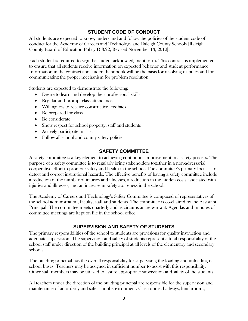#### **STUDENT CODE OF CONDUCT**

<span id="page-3-0"></span>All students are expected to know, understand and follow the policies of the student code of conduct for the Academy of Careers and Technology and Raleigh County Schools [Raleigh County Board of Education Policy D.3.22, Revised November 13, 2012].

Each student is required to sign the student acknowledgment form. This contract is implemented to ensure that all students receive information on expected behavior and student performance. Information in the contract and student handbook will be the basis for resolving disputes and for communicating the proper mechanism for problem resolution.

Students are expected to demonstrate the following:

- Desire to learn and develop their professional skills
- Regular and prompt class attendance
- Willingness to receive constructive feedback
- Be prepared for class
- Be considerate
- Show respect for school property, staff and students
- Actively participate in class
- Follow all school and county safety policies

#### **SAFETY COMMITTEE**

<span id="page-3-1"></span>A safety committee is a key element to achieving continuous improvement in a safety process. The purpose of a safety committee is to regularly bring stakeholders together in a non-adversarial, cooperative effort to promote safety and health in the school. The committee's primary focus is to detect and correct institutional hazards. The effective benefits of having a safety committee include a reduction in the number of injuries and illnesses, a reduction in the hidden costs associated with injuries and illnesses, and an increase in safety awareness in the school.

The Academy of Careers and Technology's Safety Committee is composed of representatives of the school administration, faculty, staff and students. The committee is co-chaired by the Assistant Principal. The committee meets quarterly and as circumstances warrant. Agendas and minutes of committee meetings are kept on file in the school office.

#### **SUPERVISION AND SAFETY OF STUDENTS**

<span id="page-3-2"></span>The primary responsibilities of the school to students are provisions for quality instruction and adequate supervision. The supervision and safety of students represent a total responsibility of the school staff under direction of the building principal at all levels of the elementary and secondary schools.

The building principal has the overall responsibility for supervising the loading and unloading of school buses. Teachers may be assigned in sufficient number to assist with this responsibility. Other staff members may be utilized to assure appropriate supervision and safety of the students.

All teachers under the direction of the building principal are responsible for the supervision and maintenance of an orderly and safe school environment. Classrooms, hallways, lunchrooms,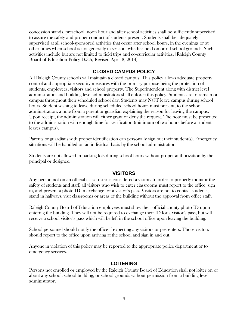concession stands, preschool, noon hour and after school activities shall be sufficiently supervised to assure the safety and proper conduct of students present. Students shall be adequately supervised at all school-sponsored activities that occur after school hours, in the evenings or at other times when school is not generally in session, whether held on or off school grounds. Such activities include but are not limited to field trips and co-curricular activities. [Raleigh County Board of Education Policy D.3.5, Revised April 8, 2014]

#### **CLOSED CAMPUS POLICY**

<span id="page-4-0"></span>All Raleigh County schools will maintain a closed campus. This policy allows adequate property control and appropriate security measures with the primary purpose being the protection of students, employees, visitors and school property. The Superintendent along with district level administrators and building level administrators shall enforce this policy. Students are to remain on campus throughout their scheduled school day. Students may NOT leave campus during school hours. Student wishing to leave during scheduled school hours must present, to the school administration, a note from a parent or guardian explaining the reason for leaving the campus. Upon receipt, the administration will either grant or deny the request. The note must be presented to the administration with enough time for verification (minimum of two hours before a student leaves campus).

Parents or guardians with proper identification can personally sign out their student(s). Emergency situations will be handled on an individual basis by the school administration.

Students are not allowed in parking lots during school hours without proper authorization by the principal or designee.

#### **VISITORS**

<span id="page-4-1"></span>Any person not on an official class roster is considered a visitor. In order to properly monitor the safety of students and staff, all visitors who wish to enter classrooms must report to the office, sign in, and present a photo ID in exchange for a visitor's pass. Visitors are not to contact students, stand in hallways, visit classrooms or areas of the building without the approval from office staff.

Raleigh County Board of Education employees must show their official county photo ID upon entering the building. They will not be required to exchange their ID for a visitor's pass, but will receive a school visitor's pass which will be left in the school office upon leaving the building.

School personnel should notify the office if expecting any visitors or presenters. Those visitors should report to the office upon arriving at the school and sign in and out.

Anyone in violation of this policy may be reported to the appropriate police department or to emergency services.

#### **LOITERING**

<span id="page-4-2"></span>Persons not enrolled or employed by the Raleigh County Board of Education shall not loiter on or about any school, school building, or school grounds without permission from a building level administrator.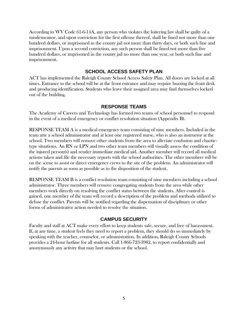According to WV Code 61-6-14A, any person who violates the loitering law shall be guilty of a misdemeanor, and upon conviction for the first offense thereof, shall be fined not more than one hundred dollars, or imprisoned in the county jail not more than thirty days, or both such fine and imprisonment. Upon a second conviction, any such person shall be fined not more than five hundred dollars, or imprisoned in the county jail no more than one year, or both such fine and imprisonment.

#### **SCHOOL ACCESS SAFETY PLAN**

<span id="page-5-0"></span>ACT has implemented the Raleigh County School Access Safety Plan. All doors are locked at all times. Entrance to the school will be at the front entrance and may require buzzing the front desk and producing identification. Students who leave their assigned area may find themselves locked out of the building.

#### **RESPONSE TEAMS**

<span id="page-5-1"></span>The Academy of Careers and Technology has formed two teams of school personnel to respond in the event of a medical emergency or conflict resolution situation (Appendix B).

RESPONSE TEAM A is a medical emergency team consisting of nine members. Included in the team arte a school administrator and at least one registered nurse, who is also an instructor at the school. Two members will remove other students from the area to alleviate confusion and chaotictype situations. An RN or LPN and two other team members will visually assess the condition of the injured person(s) and render immediate medical aid. Another member will record all medical actions taken and file the necessary reports with the school authorities. The other members will be on the scene to assist or direct emergency crews to the site of the problem. An administrator will notify the parents as soon as possible as to the disposition of the student.

RESPONSE TEAM B is a conflict resolution team consisting of nine members including a school administrator. Three members will remove congregating students from the area while other members work directly on resolving the conflict status between the students. After control is gained, one member of the team will record a description of the problem and methods utilized to defuse the conflict. Parents will be notified regarding the dispensation of disciplinary or other forms of administrative action needed to resolve the situation.

#### **CAMPUS SECURITY**

<span id="page-5-2"></span>Faculty and staff at ACT make every effort to keep students safe, secure, and free of harassment. If, at any time, a student feels they need to report a problem, they should do so immediately by speaking with the teacher, counselor, or administration. In addition, Raleigh County Schools provides a 24-hour hotline for all students. Call 1-866-723-3982, to report confidentially and anonymously any activity that may hurt students or the school.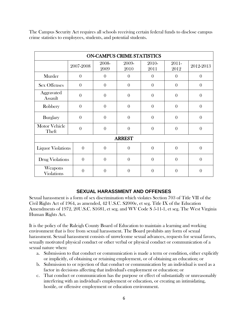The Campus Security Act requires all schools receiving certain federal funds to disclose campus crime statistics to employees, students, and potential students.

| <b>ON-CAMPUS CRIME STATISTICS</b> |           |               |               |               |               |           |
|-----------------------------------|-----------|---------------|---------------|---------------|---------------|-----------|
|                                   | 2007-2008 | 2008-<br>2009 | 2009-<br>2010 | 2010-<br>2011 | 2011-<br>2012 | 2012-2013 |
| Murder                            | $\theta$  | $\theta$      | $\theta$      | $\theta$      | $\theta$      | $\theta$  |
| <b>Sex Offenses</b>               | $\theta$  | $\theta$      | $\theta$      | $\theta$      | $\theta$      | $\theta$  |
| Aggravated<br>Assault             | $\theta$  | $\theta$      | $\theta$      | $\theta$      | $\theta$      | $\theta$  |
| Robbery                           | $\theta$  | $\theta$      | $\theta$      | $\theta$      | $\theta$      | $\theta$  |
| <b>Burglary</b>                   | $\theta$  | $\theta$      | $\theta$      | $\theta$      | $\theta$      | $\theta$  |
| <b>Motor Vehicle</b><br>Theft     | $\theta$  | $\theta$      | $\theta$      | $\theta$      | $\theta$      | $\theta$  |
| <b>ARREST</b>                     |           |               |               |               |               |           |
| <b>Liquor Violations</b>          | $\theta$  | $\theta$      | $\theta$      | $\theta$      | $\theta$      | $\theta$  |
| Drug Violations                   | $\theta$  | $\theta$      | $\theta$      | $\theta$      | $\theta$      | $\theta$  |
| Weapons<br><b>Violations</b>      | $\theta$  | $\theta$      | $\theta$      | $\theta$      | $\Omega$      | $\theta$  |

#### **SEXUAL HARASSMENT AND OFFENSES**

<span id="page-6-0"></span>Sexual harassment is a form of sex discrimination which violates Section 703 of Title VII of the Civil Rights Act of 1964, as amended, 42 U.S.C. S2000e, et seg. Title IX of the Education Amendments of 1972, 20U.S.C. S1681, et seg. and WV Code S 5-11-1, et seg. The West Virginia Human Rights Act.

It is the policy of the Raleigh County Board of Education to maintain a learning and working environment that is free from sexual harassment. The Board prohibits any form of sexual harassment. Sexual harassment consists of unwelcome sexual advances, requests for sexual favors, sexually motivated physical conduct or other verbal or physical conduct or communication of a sexual nature when:

- a. Submission to that conduct or communication is made a term or condition, either explicitly or implicitly, of obtaining or retaining employment, or of obtaining an education; or
- b. Submission to or rejection of that conduct or communication by an individual is used as a factor in decisions affecting that individual's employment or education; or
- c. That conduct or communication has the purpose or effect of substantially or unreasonably interfering with an individual's employment or education, or creating an intimidating, hostile, or offensive employment or education environment.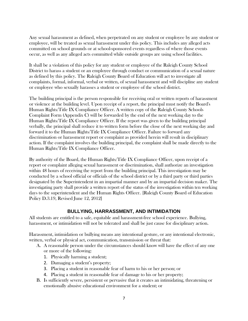Any sexual harassment as defined, when perpetrated on any student or employee by any student or employee, will be treated as sexual harassment under this policy. This includes any alleged acts committed on school grounds or at school-sponsored events regardless of where those events occur, as well as any alleged acts committed while outside groups are using school facilities.

It shall be a violation of this policy for any student or employee of the Raleigh County School District to harass a student or an employee through conduct or communication of a sexual nature as defined by this policy. The Raleigh County Board of Education will act to investigate all complaints, formal, informal, verbal or written, of sexual harassment and will discipline any student or employee who sexually harasses a student or employee of the school district.

The building principal is the person responsible for receiving oral or written reports of harassment or violence at the building level. Upon receipt of a report, the principal must notify the Board's Human Rights/Title IX Compliance Officer. A written copy of the Raleigh County Schools Complaint Form (Appendix C) will be forwarded by the end of the next working day to the Human Rights/Title IX Compliance Officer. If the report was given to the building principal verbally, the principal shall reduce it to written form before the close of the next working day and forward it to the Human Rights/Title IX Compliance Officer. Failure to forward any discrimination or harassment report or complaint as provided herein will result in disciplinary action. If the complaint involves the building principal, the complaint shall be made directly to the Human Rights/Title IX Compliance Officer.

By authority of the Board, the Human Rights/Title IX Compliance Officer, upon receipt of a report or complaint alleging sexual harassment or discrimination, shall authorize an investigation within 48 hours of receiving the report from the building principal. This investigation may be conducted by a school official or officials of the school district or by a third party or third parties designated by the Superintendent in an impartial manner and by an impartial decision maker. The investigating party shall provide a written report of the status of the investigation within ten working days to the superintendent and the Human Rights Officer. [Raleigh County Board of Education Policy D.3.19, Revised June 12, 2012]

#### **BULLYING, HARRASSMENT, AND INTIMIDATION**

<span id="page-7-0"></span>All students are entitled to a safe, equitable and harassment-free school experience. Bullying, harassment, or intimidation will not be tolerated and shall be just cause for disciplinary action.

Harassment, intimidation or bullying means any intentional gesture, or any intentional electronic, written, verbal or physical act, communication, transmission or threat that:

- A. A reasonable person under the circumstances should know will have the effect of any one or more of the following:
	- 1. Physically harming a student;
	- 2. Damaging a student's property;
	- 3. Placing a student in reasonable fear of harm to his or her person; or
	- 4. Placing a student in reasonable fear of damage to his or her property;
- B. Is sufficiently severe, persistent or pervasive that it creates an intimidating, threatening or emotionally abusive educational environment for a student; or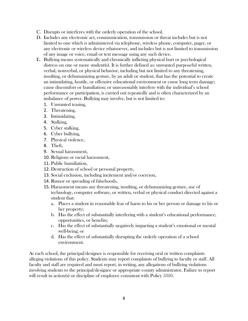- C. Disrupts or interferes with the orderly operation of the school.
- D. Includes any electronic act, communication, transmission or threat includes but is not limited to one which is administered via telephone, wireless phone, computer, pager, or any electronic or wireless device whatsoever, and includes but is not limited to transmission of any image or voice, email or text message using any such device.
- E. Bullying means systematically and chronically inflicting physical hurt or psychological distress on one or more student(s). It is further defined as: unwanted purposeful written, verbal, nonverbal, or physical behavior, including but not limited to any threatening, insulting, or dehumanizing gesture, by an adult or student, that has the potential to create an intimidating, hostile, or offensive educational environment or cause long term damage; cause discomfort or humiliation; or unreasonably interfere with the individual's school performance or participation, is carried out repeatedly and is often characterized by an imbalance of power. Bullying may involve, but is not limited to:
	- 1. Unwanted teasing,
	- 2. Threatening,
	- 3. Intimidating,
	- 4. Stalking,
	- 5. Cyber stalking,
	- 6. Cyber bullying,
	- 7. Physical violence,
	- 8. Theft,
	- 9. Sexual harassment,
	- 10. Religious or racial harassment,
	- 11. Public humiliation,
	- 12. Destruction of school or personal property,
	- 13. Social exclusion, including incitement and/or coercion,
	- 14. Rumor or spreading of falsehoods,
	- 15. Harassment means any threatening, insulting, or dehumanizing gesture, use of technology, computer software, or written, verbal or physical conduct directed against a student that:
		- a. Places a student in reasonable fear of harm to his or her person or damage to his or her property;
		- b. Has the effect of substantially interfering with a student's educational performance, opportunities, or benefits;
		- c. Has the effect of substantially negatively impacting a student's emotional or mental well-being; or
		- d. Has the effect of substantially disrupting the orderly operation of a school environment.

At each school, the principal/designee is responsible for receiving oral or written complaints alleging violations of this policy. Students may report complaints of bullying to faculty or staff. All faculty and staff are required and must report, in writing, any allegations of bullying violations involving students to the principal/designee or appropriate county administrator. Failure to report will result in action(s) or discipline of employee consistent with Policy 5310.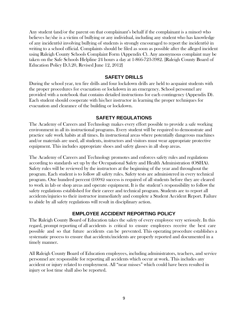Any student (and/or the parent on that complainant's behalf if the complainant is a minor) who believes he/she is a victim of bullying or any individual, including any student who has knowledge of any incident(s) involving bullying of students is strongly encouraged to report the incident(s) in writing to a school official. Complaints should be filed as soon as possible after the alleged incident using Raleigh County Schools Complaint Form (Appendix C). Any anonymous complaint may be taken on the Safe Schools Helpline 24 hours a day at 1-866-723-3982. [Raleigh County Board of Education Policy D.3.20, Revised June 12, 2012]

#### **SAFETY DRILLS**

<span id="page-9-0"></span>During the school year, ten fire drills and four lockdown drills are held to acquaint students with the proper procedures for evacuation or lockdown in an emergency. School personnel are provided with a notebook that contains detailed instructions for each contingency (Appendix D). Each student should cooperate with his/her instructor in learning the proper techniques for evacuation and clearance of the building or lockdown.

#### **SAFETY REGULATIONS**

<span id="page-9-1"></span>The Academy of Careers and Technology makes every effort possible to provide a safe working environment in all its instructional programs. Every student will be required to demonstrate and practice safe work habits at all times. In instructional areas where potentially dangerous machines and/or materials are used, all students, instructors and visitors must wear appropriate protective equipment. This includes appropriate shoes and safety glasses in all shop areas.

The Academy of Careers and Technology promotes and enforces safety rules and regulations according to standards set up by the Occupational Safety and Health Administration (OSHA). Safety rules will be reviewed by the instructors at the beginning of the year and throughout the program. Each student is to follow all safety rules. Safety tests are administered in every technical program. One hundred percent (100%) success is required of all students before they are cleared to work in lab or shop areas and operate equipment. It is the student's responsibility to follow the safety regulations established for their career and technical program. Students are to report all accidents/injuries to their instructor immediately and complete a Student Accident Report. Failure to abide by all safety regulations will result in disciplinary action.

#### **EMPLOYEE ACCIDENT REPORTING POLICY**

<span id="page-9-2"></span>The Raleigh County Board of Education takes the safety of every employee very seriously. In this regard, prompt reporting of all accidents is critical to ensure employees receive the best care possible and so that future accidents can be prevented. This operating procedure establishes a systematic process to ensure that accidents/incidents are properly reported and documented in a timely manner.

All Raleigh County Board of Education employees, including administrators, teachers, and service personnel are responsible for reporting all accidents which occur at work. This includes any accident or injury related to employment. All "near misses" which could have been resulted in injury or lost time shall also be reported.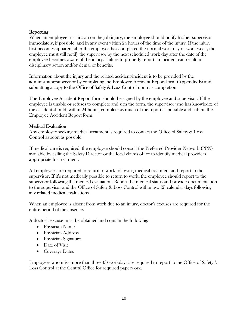#### **Reporting**

When an employee sustains an on-the-job injury, the employee should notify his/her supervisor immediately, if possible, and in any event within 24 hours of the time of the injury. If the injury first becomes apparent after the employee has completed the normal work day or work week, the employee must still notify the supervisor by the next scheduled work day after the date of the employee becomes aware of the injury. Failure to properly report an incident can result in disciplinary action and/or denial of benefits.

Information about the injury and the related accident/incident is to be provided by the administrator/supervisor by completing the Employee Accident Report form (Appendix E) and submitting a copy to the Office of Safety & Loss Control upon its completion.

The Employee Accident Report form should be signed by the employee and supervisor. If the employee is unable or refuses to complete and sign the form, the supervisor who has knowledge of the accident should, within 24 hours, complete as much of the report as possible and submit the Employee Accident Report form.

#### Medical Evaluation

Any employee seeking medical treatment is required to contact the Office of Safety & Loss Control as soon as possible.

If medical care is required, the employee should consult the Preferred Provider Network (PPN) available by calling the Safety Director or the local claims office to identify medical providers appropriate for treatment.

All employees are required to return to work following medical treatment and report to the supervisor. If it's not medically possible to return to work, the employee should report to the supervisor following the medical evaluation. Report the medical status and provide documentation to the supervisor and the Office of Safety & Loss Control within two (2) calendar days following any related medical evaluations.

When an employee is absent from work due to an injury, doctor's excuses are required for the entire period of the absence.

A doctor's excuse must be obtained and contain the following:

- Physician Name
- Physician Address
- Physician Signature
- Date of Visit
- Coverage Dates

Employees who miss more than three (3) workdays are required to report to the Office of Safety & Loss Control at the Central Office for required paperwork.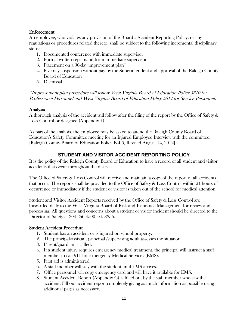#### Enforcement

An employee, who violates any provision of the Board's Accident Reporting Policy, or any regulations or procedures related thereto, shall be subject to the following incremental disciplinary steps:

- 1. Documented conference with immediate supervisor
- 2. Formal written reprimand from immediate supervisor
- 3. Placement on a 30-day improvement plan\*
- 4. Five-day suspension without pay by the Superintendent and approval of the Raleigh County Board of Education
- 5. Dismissal

\*Improvement plan procedure will follow West Virginia Board of Education Policy 5310 for Professional Personnel and West Virginia Board of Education Policy 5314 for Service Personnel.

#### Analysis

A thorough analysis of the accident will follow after the filing of the report by the Office of Safety & Loss Control or designee (Appendix F).

As part of the analysis, the employee may be asked to attend the Raleigh County Board of Education's Safety Committee meeting for an Injured Employee Interview with the committee. [Raleigh County Board of Education Policy B.4.6, Revised August 14, 2012]

#### **STUDENT AND VISITOR ACCIDENT REPORTING POLICY**

<span id="page-11-0"></span>It is the policy of the Raleigh County Board of Education to have a record of all student and visitor accidents that occur throughout the district.

The Office of Safety & Loss Control will receive and maintain a copy of the report of all accidents that occur. The reports shall be provided to the Office of Safety & Loss Control within 24 hours of occurrence or immediately if the student or visitor is taken out of the school for medical attention.

Student and Visitor Accident Reports received by the Office of Safety & Loss Control are forwarded daily to the West Virginia Board of Risk and Insurance Management for review and processing. All questions and concerns about a student or visitor incident should be directed to the Director of Safety at 304-256-4500 ext. 3355.

#### Student Accident Procedure

- 1. Student has an accident or is injured on school property.
- 2. The principal/assistant principal /supervising adult assesses the situation.
- 3. Parent/guardian is called.
- 4. If a student injury requires emergency medical treatment, the principal will instruct a staff member to call 911 for Emergency Medical Services (EMS).
- 5. First aid is administered.
- 6. A staff member will stay with the student until EMS arrives.
- 7. Office personnel will copy emergency card and will have it available for EMS.
- 8. Student Accident Report (Appendix G) is filled out by the staff member who saw the accident. Fill out accident report completely giving as much information as possible using additional pages as necessary.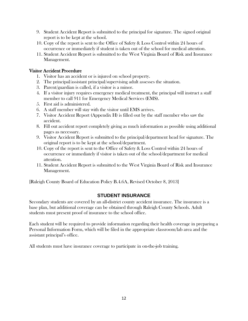- 9. Student Accident Report is submitted to the principal for signature. The signed original report is to be kept at the school.
- 10. Copy of the report is sent to the Office of Safety & Loss Control within 24 hours of occurrence or immediately if student is taken out of the school for medical attention.
- 11. Student Accident Report is submitted to the West Virginia Board of Risk and Insurance Management.

#### Visitor Accident Procedure

- 1. Visitor has an accident or is injured on school property.
- 2. The principal/assistant principal/supervising adult assesses the situation.
- 3. Parent/guardian is called, if a visitor is a minor.
- 4. If a visitor injury requires emergency medical treatment, the principal will instruct a staff member to call 911 for Emergency Medical Services (EMS).
- 5. First aid is administered.
- 6. A staff member will stay with the visitor until EMS arrives.
- 7. Visitor Accident Report (Appendix H) is filled out by the staff member who saw the accident.
- 8. Fill out accident report completely giving as much information as possible using additional pages as necessary.
- 9. Visitor Accident Report is submitted to the principal/department head for signature. The original report is to be kept at the school/department.
- 10. Copy of the report is sent to the Office of Safety & Loss Control within 24 hours of occurrence or immediately if visitor is taken out of the school/department for medical attention.
- 11. Student Accident Report is submitted to the West Virginia Board of Risk and Insurance Management.

[Raleigh County Board of Education Policy B.4.6A, Revised October 8, 2013]

#### **STUDENT INSURANCE**

<span id="page-12-0"></span>Secondary students are covered by an all-district county accident insurance. The insurance is a base plan, but additional coverage can be obtained through Raleigh County Schools. Adult students must present proof of insurance to the school office.

Each student will be required to provide information regarding their health coverage in preparing a Personal Information Form, which will be filed in the appropriate classroom/lab area and the assistant principal's office.

All students must have insurance coverage to participate in on-the-job training.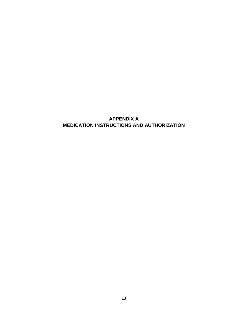#### <span id="page-13-0"></span>**APPENDIX A MEDICATION INSTRUCTIONS AND AUTHORIZATION**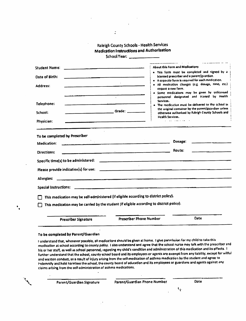#### Raleigh County Schools - Health Services **Medication Instructions and Authorization** School V

|  | School Year: |  |
|--|--------------|--|
|--|--------------|--|

| <b>Student Name:</b>                                                                                         | <b>About this Form and Medications</b>                                                                                                                                                                                                                                                                                                                                                                                                       |
|--------------------------------------------------------------------------------------------------------------|----------------------------------------------------------------------------------------------------------------------------------------------------------------------------------------------------------------------------------------------------------------------------------------------------------------------------------------------------------------------------------------------------------------------------------------------|
| Date of Birth:                                                                                               | . This form must be completed and signed by a<br>kcensed prescriber and a parent/guardian.                                                                                                                                                                                                                                                                                                                                                   |
| Address:<br>Telephone:<br>_____________________________________Grade: _____________<br>School:<br>Physician: | · A separate form is required for each medication.<br>All medication changes (e.g. dosage, time, etc.)<br>require a new form.<br>· Some medications may be given by unlicensed<br>personnel designated and trained by Health<br>$\sim$<br>Services.<br>. The medication must be delivered to the school in<br>the original container by the parent/guardian unless<br>otherwise authorized by Raleigh County Schools and<br>Health Services. |
| To be completed by Prescriber                                                                                |                                                                                                                                                                                                                                                                                                                                                                                                                                              |
| Medication:                                                                                                  | Dosage:<br><u> 1980 - Jan James Barnett, fransk politik (</u>                                                                                                                                                                                                                                                                                                                                                                                |
| Directions:                                                                                                  | Route:<br><u> 1989 - John Stone, Amerikan berlingt av den større og større og større og større og større og større og s</u>                                                                                                                                                                                                                                                                                                                  |
| Specific time(s) to be administered:                                                                         |                                                                                                                                                                                                                                                                                                                                                                                                                                              |
|                                                                                                              | $\sim 10^{-1}$                                                                                                                                                                                                                                                                                                                                                                                                                               |
| Allergies:                                                                                                   |                                                                                                                                                                                                                                                                                                                                                                                                                                              |
| <b>Special Instructions:</b>                                                                                 | a sa karang atau sa karang tanggan dari sa sa sa sa sa masa na mga masa ng mga matatagan na may na may na may                                                                                                                                                                                                                                                                                                                                |
|                                                                                                              | This medication may be self-administered (if eligible according to district policy).                                                                                                                                                                                                                                                                                                                                                         |
|                                                                                                              | This medication may be carried by the student (if eligible according to district policy).                                                                                                                                                                                                                                                                                                                                                    |
| Prescriber Signature                                                                                         | Date<br><b>Prescriber Phone Number</b>                                                                                                                                                                                                                                                                                                                                                                                                       |

isible, all medications si medication at school according to county policy. I also understand and agree that the school nurse may talk with the prescriber and his or her staff, as well as school personnel, regarding my child's condition and administration of this medication and its effects. I further understand that the school, county school board and its employees or agents are exempt from any liability, except for willful and wanton conduct, as a result of injury arising from the self-medication of asthma medication by the student and agree to indemnify and hold harmless the school, the county board of education and its employees or guardians and agents against any claims arising from the self-administration of asthma medications.

| Parent/Guardian Signature | Parent/Guardian Phone Number | Date |
|---------------------------|------------------------------|------|
|                           |                              |      |

 $\ddot{\phantom{0}}$ 

 $\overline{\phantom{a}}$ 

 $\ddot{\cdot}$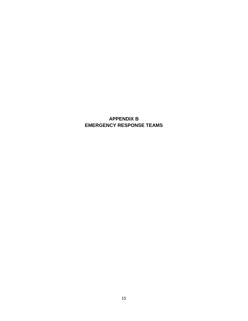### <span id="page-15-0"></span>**APPENDIX B EMERGENCY RESPONSE TEAMS**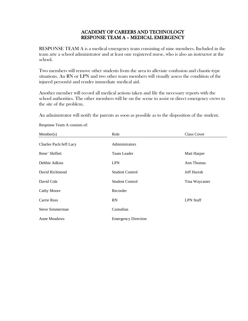#### ACADEMY OF CAREERS AND TECHNOLOGY RESPONSE TEAM A – MEDICAL EMERGENCY

RESPONSE TEAM A is a medical emergency team consisting of nine members. Included in the team arte a school administrator and at least one registered nurse, who is also an instructor at the school.

Two members will remove other students from the area to alleviate confusion and chaotic-type situations. An RN or LPN and two other team members will visually assess the condition of the injured person(s) and render immediate medical aid.

Another member will record all medical actions taken and file the necessary reports with the school authorities. The other members will be on the scene to assist or direct emergency crews to the site of the problem.

An administrator will notify the parents as soon as possible as to the disposition of the student.

| Member(s)              | Role                       | Class Cover      |
|------------------------|----------------------------|------------------|
| Charles Pack/Jeff Lacy | Administrators             |                  |
| Rene' Shiflett         | Team Leader                | Matt Harper      |
| Debbie Adkins          | <b>LPN</b>                 | Ann Thomas       |
| David Richmond         | <b>Student Control</b>     | Jeff Harrah      |
| David Cole             | <b>Student Control</b>     | Tina Waycaster   |
| <b>Cathy Moore</b>     | Recorder                   |                  |
| Carrie Ross            | <b>RN</b>                  | <b>LPN</b> Staff |
| Steve Simmerman        | Custodian                  |                  |
| Anne Meadows           | <b>Emergency Direction</b> |                  |

Response Team A consists of: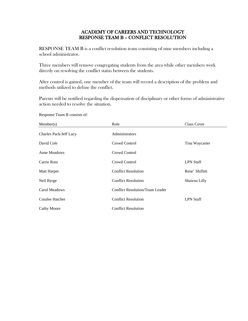#### ACADEMY OF CAREERS AND TECHNOLOGY RESPONSE TEAM B – CONFLICT RESOLUTION

RESPONSE TEAM B is a conflict resolution team consisting of nine members including a school administrator.

Three members will remove congregating students from the area while other members work directly on resolving the conflict status between the students.

After control is gained, one member of the team will record a description of the problem and methods utilized to defuse the conflict.

Parents will be notified regarding the dispensation of disciplinary or other forms of administrative action needed to resolve the situation.

| Member(s)              | Role                  | Class Cover |
|------------------------|-----------------------|-------------|
| Charles Pack/Jeff Lacy | <b>Administrators</b> |             |

Response Team B consists of:

| $N$ . $N$              | <b>NOIC</b>                     | Class Covel      |
|------------------------|---------------------------------|------------------|
| Charles Pack/Jeff Lacy | Administrators                  |                  |
| David Cole             | Crowd Control                   | Tina Waycaster   |
| <b>Anne Meadows</b>    | Crowd Control                   |                  |
| Carrie Ross            | Crowd Control                   | <b>LPN</b> Staff |
| Matt Harper            | <b>Conflict Resolution</b>      | Rene' Shiflett   |
| Neil Byrge             | <b>Conflict Resolution</b>      | Shawna Lilly     |
| Carol Meadows          | Conflict Resolution/Team Leader |                  |
| Coralee Hatcher        | <b>Conflict Resolution</b>      | <b>LPN Staff</b> |
| <b>Cathy Moore</b>     | <b>Conflict Resolution</b>      |                  |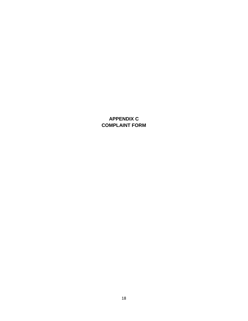### **APPENDIX C COMPLAINT FORM**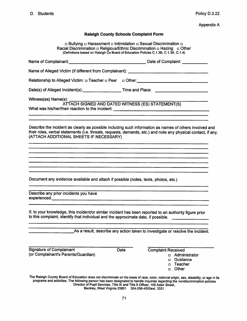**Appendix A** 

#### **Raleigh County Schools Complaint Form**

**D Bullying D Harassment D Intimidation D Sexual Discrimination D**<br>Racial Discrimination D Religious/Ethnic Discrimination D Hazing D Other<br>(Definitions based on Raleigh Co Board of Education Policies C.1.3B, C.1.3A, C.1.

| Name of Complainant: example and the set of Complaint: example and the Date of Complaint:                                                                                                     |                                                                                                                                                                                                                                                                                                                                                                                     |
|-----------------------------------------------------------------------------------------------------------------------------------------------------------------------------------------------|-------------------------------------------------------------------------------------------------------------------------------------------------------------------------------------------------------------------------------------------------------------------------------------------------------------------------------------------------------------------------------------|
|                                                                                                                                                                                               |                                                                                                                                                                                                                                                                                                                                                                                     |
| Relationship to Alleged Victim: p Teacher p Peer p Other: https://www.com/controllegence.com/controllegence.com/                                                                              |                                                                                                                                                                                                                                                                                                                                                                                     |
| Date(s) of Alleged Incident(s): Time and Place:                                                                                                                                               |                                                                                                                                                                                                                                                                                                                                                                                     |
|                                                                                                                                                                                               | ATTACH SIGNED AND DATED WITNESS (ES) STATEMENT(S)                                                                                                                                                                                                                                                                                                                                   |
| (ATTACH ADDITIONAL SHEETS IF NECESSARY)                                                                                                                                                       | Describe the incident as clearly as possible including such information as names of others involved and<br>their roles, verbal statements (i.e. threats, requests, demands, etc.) and note any physical contact, if any.                                                                                                                                                            |
|                                                                                                                                                                                               |                                                                                                                                                                                                                                                                                                                                                                                     |
| Document any evidence available and attach if possible (notes, texts, photos, etc.)                                                                                                           |                                                                                                                                                                                                                                                                                                                                                                                     |
| Describe any prior incidents you have                                                                                                                                                         |                                                                                                                                                                                                                                                                                                                                                                                     |
| If, to your knowledge, this incident/or similar incident has been reported to an authority figure prior<br>to this complaint, identify that individual and the approximate date, if possible. |                                                                                                                                                                                                                                                                                                                                                                                     |
|                                                                                                                                                                                               | As a result, describe any action taken to investigate or resolve the incident.                                                                                                                                                                                                                                                                                                      |
| <b>Signature of Complainant</b><br>(or Complainant's Parents/Guardian)                                                                                                                        | Date<br><b>Complaint Received</b><br>Administrator<br>α<br>Guidance<br>◘<br><b>Teacher</b><br>п<br>Other<br>Ω                                                                                                                                                                                                                                                                       |
| Beckley, West Virginia 25801                                                                                                                                                                  | The Raleigh County Board of Education does not discriminate on the basis of race, color, national origin, sex, disability, or age in its<br>programs and activities. The following person has been designated to handle inquiries regarding the nondiscrimination policies<br>Director of Pupil Services, Title IX and Title II Officer, 105 Adair Street,<br>304-256-4500ext. 3331 |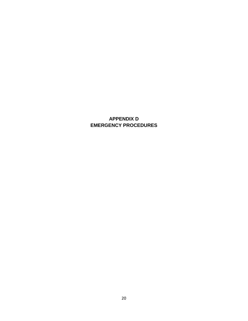### <span id="page-20-0"></span>**APPENDIX D EMERGENCY PROCEDURES**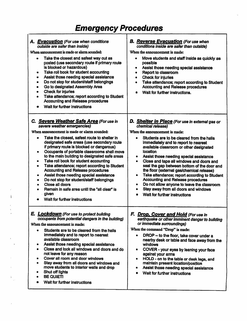# **Emergency Procedures**

| A. Evacuation (For use when conditions<br>outside are safer than inside)<br>When announcement is made or alarm sounded:<br>Take the closest and safest way out as<br>posted (use secondary route if primary route<br>is blocked or hazardous)<br>Take roll book for student accounting<br>٠<br>Assist those needing special assistance<br>$\bullet$<br>Do not stop for student/staff belongings<br>٠<br>Go to designated Assembly Area<br>Check for injuries<br>Take attendance; report according to Student<br>Accounting and Release procedures<br>Wait for further instructions                                                                                                                                                                                                                | <b>B. Reverse Evacuation (For use when</b><br>conditions inside are safer than outside)<br>When the announcement is made:<br>Move students and staff inside as quickly as<br>possible<br>Assist those needing special assistance<br>$\bullet$<br>Report to classroom<br>٠<br><b>Check for injuries</b><br>$\bullet$<br>Take attendance; report according to Student<br>$\bullet$<br><b>Accounting and Release procedures</b><br>Wait for further instructions.<br>$\bullet$                                                                                                                                                                                                                                            |
|---------------------------------------------------------------------------------------------------------------------------------------------------------------------------------------------------------------------------------------------------------------------------------------------------------------------------------------------------------------------------------------------------------------------------------------------------------------------------------------------------------------------------------------------------------------------------------------------------------------------------------------------------------------------------------------------------------------------------------------------------------------------------------------------------|------------------------------------------------------------------------------------------------------------------------------------------------------------------------------------------------------------------------------------------------------------------------------------------------------------------------------------------------------------------------------------------------------------------------------------------------------------------------------------------------------------------------------------------------------------------------------------------------------------------------------------------------------------------------------------------------------------------------|
| C. Severe Weather Safe Area (For use in<br>severe weather emergencies)<br>When announcement is made or alarm sounded:<br>Take the closest, safest route to shelter in<br>$\bullet$<br>designated safe areas (use secondary route<br>if primary route is blocked or dangerous)<br>Occupants of portable classrooms shall move<br>$\bullet$<br>to the main building to designated safe areas<br>Take roll book for student accounting<br>$\bullet$<br>Take attendance; report according to Student<br>$\bullet$<br><b>Accounting and Release procedures</b><br>Assist those needing special assistance<br>٠<br>Do not stop for student/staff belongings<br>$\bullet$<br>Close all doors<br>$\bullet$<br>Remain in safe area until the "all clear" is<br>٠<br>given<br>Wait for further instructions | D. Shelter in Place (For use in external gas or<br>chemical release)<br>When the announcement is made:<br>Students are to be cleared from the halls<br>$\bullet$<br>immediately and to report to nearest<br>available classroom or other designated<br>location<br>Assist those needing special assistance<br>٠<br>Close and tape all windows and doors and<br>$\bullet$<br>seal the gap between bottom of the door and<br>the floor (external gas/chemical release)<br>Take attendance; report according to Student<br>٠<br><b>Accounting and Release procedures</b><br>Do not allow anyone to leave the classroom<br>$\bullet$<br>Stay away from all doors and windows<br>$\bullet$<br>Wait for further instructions |
| E. <b>Lockdown</b> (For use to protect building<br>occupants from potential dangers in the building)<br>When the announcement is made:<br>Students are to be cleared from the halls<br>$\bullet$<br>immediately and to report to nearest<br>available classroom<br>Assist those needing special assistance<br>٠<br>Close and lock all windows and doors and do<br>$\bullet$<br>not leave for any reason<br>Cover all room and door windows<br>٠<br>Stay away from all doors and windows and<br>٠<br>move students to interior walls and drop<br>Shut off lights<br>$\bullet$<br><b>BE QUIETI</b><br>$\bullet$<br>Wait for further instructions                                                                                                                                                    | F. Drop, Cover and Hold (For use in<br>earthquake or other imminent danger to building<br>or immediate surroundings)<br>When the command "Drop" is made:<br>DROP - to the floor, take cover under a<br>$\bullet$<br>nearby desk or table and face away from the<br>windows<br>COVER - your eyes by leaning your face<br>٠<br>against your arms<br>HOLD - on to the table or desk legs, and<br>$\bullet$<br>maintain present location/position<br>Assist those needing special assistance<br>$\bullet$<br>Wait for further instructions<br>$\bullet$                                                                                                                                                                    |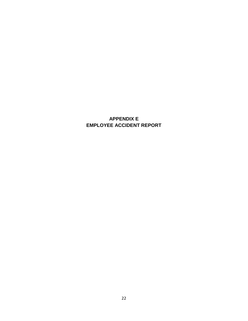### <span id="page-22-0"></span>**APPENDIX E EMPLOYEE ACCIDENT REPORT**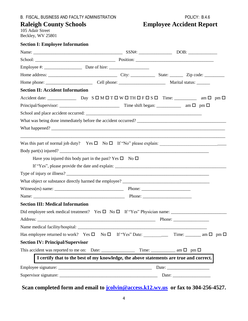# **Raleigh County Schools Employee Accident Report**

105 Adair Street Beckley, WV 25801

| <b>Section I: Employee Information</b>                                                   |  |                                                                                                                       |  |
|------------------------------------------------------------------------------------------|--|-----------------------------------------------------------------------------------------------------------------------|--|
|                                                                                          |  |                                                                                                                       |  |
|                                                                                          |  |                                                                                                                       |  |
|                                                                                          |  |                                                                                                                       |  |
|                                                                                          |  |                                                                                                                       |  |
|                                                                                          |  |                                                                                                                       |  |
| <b>Section II: Accident Information</b>                                                  |  |                                                                                                                       |  |
|                                                                                          |  |                                                                                                                       |  |
|                                                                                          |  |                                                                                                                       |  |
|                                                                                          |  |                                                                                                                       |  |
|                                                                                          |  |                                                                                                                       |  |
|                                                                                          |  |                                                                                                                       |  |
|                                                                                          |  | <u> 1989 - Johann Stoff, deutscher Stoff, der Stoff, der Stoff, der Stoff, der Stoff, der Stoff, der Stoff, der S</u> |  |
| Body part(s) injured?                                                                    |  |                                                                                                                       |  |
| Have you injured this body part in the past? Yes $\square$ No $\square$                  |  |                                                                                                                       |  |
|                                                                                          |  |                                                                                                                       |  |
|                                                                                          |  |                                                                                                                       |  |
|                                                                                          |  |                                                                                                                       |  |
|                                                                                          |  |                                                                                                                       |  |
|                                                                                          |  |                                                                                                                       |  |
| <b>Section III: Medical Information</b>                                                  |  |                                                                                                                       |  |
| Did employee seek medical treatment? Yes $\square$ No $\square$ If "Yes" Physician name: |  |                                                                                                                       |  |
|                                                                                          |  |                                                                                                                       |  |
|                                                                                          |  |                                                                                                                       |  |
|                                                                                          |  |                                                                                                                       |  |
| <b>Section IV: Principal/Supervisor</b>                                                  |  |                                                                                                                       |  |
|                                                                                          |  |                                                                                                                       |  |
| I certify that to the best of my knowledge, the above statements are true and correct.   |  |                                                                                                                       |  |
|                                                                                          |  |                                                                                                                       |  |
|                                                                                          |  |                                                                                                                       |  |
|                                                                                          |  |                                                                                                                       |  |

**Scan completed form and email to [jcolvin@access.k12.wv.us](mailto:jcolvin@access.k12.wv.us) or fax to 304-256-4527.**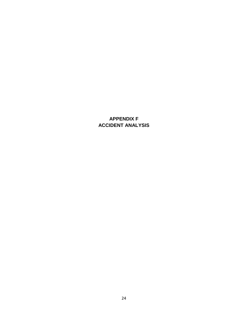### <span id="page-24-0"></span>**APPENDIX F ACCIDENT ANALYSIS**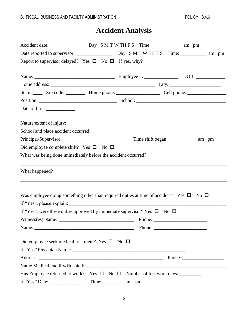# **Accident Analysis**

|                                                                                    | State: _______ Zip code: _____________ Home phone: _________________________ Cell phone: _____________________                                                                                                                                                                                                                                                                                               |
|------------------------------------------------------------------------------------|--------------------------------------------------------------------------------------------------------------------------------------------------------------------------------------------------------------------------------------------------------------------------------------------------------------------------------------------------------------------------------------------------------------|
|                                                                                    |                                                                                                                                                                                                                                                                                                                                                                                                              |
|                                                                                    |                                                                                                                                                                                                                                                                                                                                                                                                              |
|                                                                                    |                                                                                                                                                                                                                                                                                                                                                                                                              |
|                                                                                    |                                                                                                                                                                                                                                                                                                                                                                                                              |
|                                                                                    |                                                                                                                                                                                                                                                                                                                                                                                                              |
| Did employee complete shift? Yes $\square$ No $\square$                            |                                                                                                                                                                                                                                                                                                                                                                                                              |
|                                                                                    |                                                                                                                                                                                                                                                                                                                                                                                                              |
|                                                                                    |                                                                                                                                                                                                                                                                                                                                                                                                              |
|                                                                                    | Was employee doing something other than required duties at time of accident? Yes $\square$ No $\square$                                                                                                                                                                                                                                                                                                      |
|                                                                                    |                                                                                                                                                                                                                                                                                                                                                                                                              |
| If "Yes", were these duties approved by immediate supervisor? Yes $\Box$ No $\Box$ |                                                                                                                                                                                                                                                                                                                                                                                                              |
|                                                                                    |                                                                                                                                                                                                                                                                                                                                                                                                              |
|                                                                                    | Phone: $\frac{1}{\sqrt{1-\frac{1}{2}}\sqrt{1-\frac{1}{2}}\sqrt{1-\frac{1}{2}}\sqrt{1-\frac{1}{2}}\sqrt{1-\frac{1}{2}}\sqrt{1-\frac{1}{2}}\sqrt{1-\frac{1}{2}}\sqrt{1-\frac{1}{2}}\sqrt{1-\frac{1}{2}}\sqrt{1-\frac{1}{2}}\sqrt{1-\frac{1}{2}}\sqrt{1-\frac{1}{2}}\sqrt{1-\frac{1}{2}}\sqrt{1-\frac{1}{2}}\sqrt{1-\frac{1}{2}}\sqrt{1-\frac{1}{2}}\sqrt{1-\frac{1}{2}}\sqrt{1-\frac{1}{2}}\sqrt{1-\frac{1}{2$ |
| Did employee seek medical treatment? Yes $\square$ No $\square$                    |                                                                                                                                                                                                                                                                                                                                                                                                              |
|                                                                                    |                                                                                                                                                                                                                                                                                                                                                                                                              |
|                                                                                    | Phone: $\frac{1}{\sqrt{1-\frac{1}{2}} \cdot \frac{1}{2}}$                                                                                                                                                                                                                                                                                                                                                    |
|                                                                                    |                                                                                                                                                                                                                                                                                                                                                                                                              |
|                                                                                    |                                                                                                                                                                                                                                                                                                                                                                                                              |
| If "Yes" Date:<br>Time:                                                            | am pm                                                                                                                                                                                                                                                                                                                                                                                                        |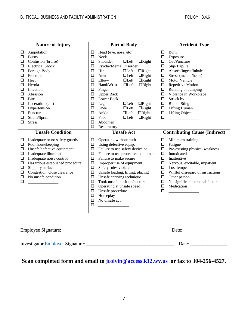| <b>Nature of Injury</b>                                                                                                   |                                                                                                                                                                                                                                                                                  | <b>Part of Body</b>                                                                                                                                          |                                                                                                                                                                                                                                                                                                                                                                                                                                                                                                                 |                                                                                                                                                    | <b>Accident Type</b>                                                                                                                                                                                                                                                                     |  |  |
|---------------------------------------------------------------------------------------------------------------------------|----------------------------------------------------------------------------------------------------------------------------------------------------------------------------------------------------------------------------------------------------------------------------------|--------------------------------------------------------------------------------------------------------------------------------------------------------------|-----------------------------------------------------------------------------------------------------------------------------------------------------------------------------------------------------------------------------------------------------------------------------------------------------------------------------------------------------------------------------------------------------------------------------------------------------------------------------------------------------------------|----------------------------------------------------------------------------------------------------------------------------------------------------|------------------------------------------------------------------------------------------------------------------------------------------------------------------------------------------------------------------------------------------------------------------------------------------|--|--|
| $\Box$<br>口<br>□<br>$\Box$<br>$\Box$<br>□<br>$\Box$<br>□<br>$\Box$<br>$\Box$<br>□<br>$\Box$<br>$\Box$<br>$\Box$<br>□<br>□ | Amputation<br><b>Burns</b><br>Contusion (bruise)<br><b>Electrical Shock</b><br>Foreign Body<br>Fracture<br>Heat<br>Hernia<br>Infection<br>Abrasion<br><b>Bite</b><br>Laceration (cut)<br>Hypertension<br>Puncture<br>Strain/Sprain<br><b>Stress</b>                              | □<br>$\Box$<br>$\Box$<br>$\Box$<br>$\Box$<br>$\Box$<br>$\Box$<br>$\Box$<br>$\Box$<br>$\Box$<br>□<br>$\Box$<br>$\Box$<br>$\Box$<br>$\Box$<br>$\Box$<br>$\Box$ | Head (eye, nose, etc) ________<br>Neck<br>Shoulder<br>$\Box$ Left<br>$\Box$ Right<br>Psyche/Mental Disorder<br>$\Box$ Right<br>Hip<br>$\Box$ Left<br>Arm<br>$\Box$ Left<br>$\Box$ Right<br>Elbow<br>$\Box$ Left<br>$\Box$ Right<br>Hand/Wrist<br>$\Box$ Left<br>$\Box$ Right<br>Finger<br><b>Upper Back</b><br>Lower Back<br>$\Box$ Left<br>$\Box$ Right<br>Leg<br>Knee<br>$\Box$ Left<br>$\Box$ Right<br>$\Box$ Left<br>$\Box$ Right<br>Ankle<br>$\Box$ Right<br>Foot<br>$\Box$ Left<br>Abdomen<br>Respiratory | $\Box$<br>$\Box$<br>$\Box$<br>$\Box$<br>$\Box$<br>$\Box$<br>$\Box$<br>$\Box$<br>$\Box$<br>$\Box$<br>$\Box$<br>$\Box$<br>$\Box$<br>$\Box$<br>$\Box$ | Burn<br>Exposure<br>Cut/Puncture<br>Slip/Trip/Fall<br>Absorb/Ingest/Inhale<br>Stress (mental/heart)<br>Motor Vehicle<br>Repetitive Motion<br>Running or Jumping<br>Violence in Workplace<br>Struck by<br>Bite or Sting<br><b>Lifting Human</b><br><b>Lifting Object</b>                  |  |  |
| □<br>$\Box$<br>$\Box$<br>$\Box$<br>$\Box$<br>$\Box$<br>$\Box$<br>$\Box$<br>$\Box$<br>□                                    | <b>Unsafe Condition</b><br>Inadequate or no safety guards<br>Poor housekeeping<br>Unsafe/defective equipment<br>Inadequate illumination<br>Inadequate noise control<br>Hazardous established procedure<br>Slippery surface<br>Congestion, close clearance<br>No unsafe condition | □<br>□<br>□<br>□<br>□<br>$\Box$<br>□<br>□<br>□<br>□<br>□<br>□<br>□<br>$\Box$<br>$\Box$                                                                       | <b>Unsafe Act</b><br>Operating without auth.<br>Using defective equip.<br>Failure to use safety device or<br>Failure to use protective equipment<br>Failure to make secure<br>Improper use of equipment<br>Safety rules violated<br>Unsafe loading, lifting, placing<br>Unsafe carrying technique<br>Took unsafe position/posture<br>Operating at unsafe speed<br>Unsafe procedure<br>Horseplay<br>No unsafe act                                                                                                | □<br>$\Box$<br>$\Box$<br>$\Box$<br>$\Box$<br>$\Box$<br>$\Box$<br>$\Box$<br>$\Box$<br>$\Box$<br>$\Box$<br>$\Box$                                    | <b>Contributing Cause (Indirect)</b><br>Minimum training<br>Fatigue<br>Pre-existing physical weakness<br>Intoxicated<br>Inattentive<br>Nervous, excitable, impatient<br>Lost temper<br>Willful disregard of instructions<br>Other person<br>No significant personal factor<br>Medication |  |  |

| Employee Signature:                     | Date: |
|-----------------------------------------|-------|
| <b>Investigator Employer Signature:</b> | Date: |

## **Scan completed form and email to [jcolvin@access.k12.wv.us](mailto:jcolvin@access.k12.wv.us) or fax to 304-256-4527.**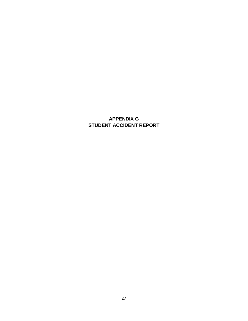### <span id="page-27-0"></span>**APPENDIX G STUDENT ACCIDENT REPORT**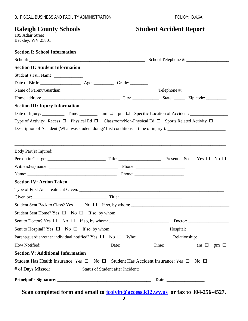# **Raleigh County Schools Student Accident Report**

105 Adair Street Beckley, WV 25801

| <b>Section I: School Information</b>                                                                                                                                           |  |  |
|--------------------------------------------------------------------------------------------------------------------------------------------------------------------------------|--|--|
|                                                                                                                                                                                |  |  |
| <b>Section II: Student Information</b>                                                                                                                                         |  |  |
|                                                                                                                                                                                |  |  |
|                                                                                                                                                                                |  |  |
|                                                                                                                                                                                |  |  |
|                                                                                                                                                                                |  |  |
| <b>Section III: Injury Information</b>                                                                                                                                         |  |  |
| Date of Injury: $\frac{1}{\sqrt{1-\frac{1}{2}}}\$ Time: $\frac{1}{\sqrt{1-\frac{1}{2}}}\$ am $\Box$ pm $\Box$ Specific Location of Accident: $\frac{1}{\sqrt{1-\frac{1}{2}}}\$ |  |  |
| Type of Activity: Recess $\Box$ Physical Ed $\Box$ Classroom/Non-Physical Ed $\Box$ Sports Related Activity $\Box$                                                             |  |  |
|                                                                                                                                                                                |  |  |
|                                                                                                                                                                                |  |  |
| ,我们也不能在这里的人,我们也不能在这里的人,我们也不能在这里的人,我们也不能不能在这里的人,我们也不能不能不能不能。""我们,我们也不能不能不能不能不能不能不                                                                                               |  |  |
|                                                                                                                                                                                |  |  |
|                                                                                                                                                                                |  |  |
|                                                                                                                                                                                |  |  |
|                                                                                                                                                                                |  |  |
| <b>Section IV: Action Taken</b>                                                                                                                                                |  |  |
|                                                                                                                                                                                |  |  |
|                                                                                                                                                                                |  |  |
|                                                                                                                                                                                |  |  |
|                                                                                                                                                                                |  |  |
|                                                                                                                                                                                |  |  |
|                                                                                                                                                                                |  |  |
|                                                                                                                                                                                |  |  |
|                                                                                                                                                                                |  |  |
| <b>Section V: Additional Information</b>                                                                                                                                       |  |  |
| Student Has Health Insurance: Yes $\Box$ No $\Box$ Student Has Accident Insurance: Yes $\Box$ No $\Box$                                                                        |  |  |
|                                                                                                                                                                                |  |  |
|                                                                                                                                                                                |  |  |

**Scan completed form and email to [jcolvin@access.k12.wv.us](mailto:jcolvin@access.k12.wv.us) or fax to 304-256-4527.**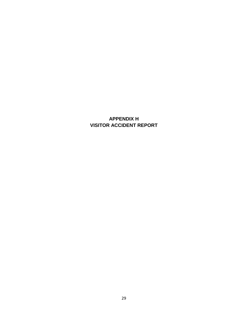### <span id="page-29-0"></span>**APPENDIX H VISITOR ACCIDENT REPORT**